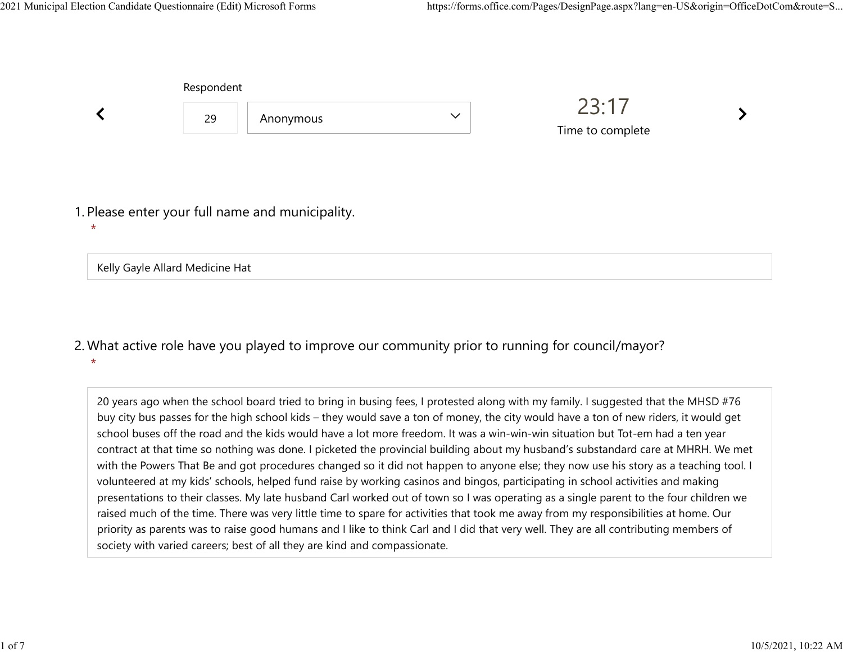|                                                             | Respondent |           |              |                           |  |  |
|-------------------------------------------------------------|------------|-----------|--------------|---------------------------|--|--|
|                                                             | 29         | Anonymous | $\checkmark$ | 23:17<br>Time to complete |  |  |
| 1. Please enter your full name and municipality.<br>$\star$ |            |           |              |                           |  |  |
| Kelly Gayle Allard Medicine Hat                             |            |           |              |                           |  |  |

## What active role have you played to improve our community prior to running for council/mayor? 2. \*

20 years ago when the school board tried to bring in busing fees, I protested along with my family. I suggested that the MHSD #76 buy city bus passes for the high school kids – they would save a ton of money, the city would have a ton of new riders, it would get school buses off the road and the kids would have a lot more freedom. It was a win-win-win situation but Tot-em had a ten year contract at that time so nothing was done. I picketed the provincial building about my husband's substandard care at MHRH. We met with the Powers That Be and got procedures changed so it did not happen to anyone else; they now use his story as a teaching tool. I volunteered at my kids' schools, helped fund raise by working casinos and bingos, participating in school activities and making presentations to their classes. My late husband Carl worked out of town so I was operating as a single parent to the four children we raised much of the time. There was very little time to spare for activities that took me away from my responsibilities at home. Our priority as parents was to raise good humans and I like to think Carl and I did that very well. They are all contributing members of society with varied careers; best of all they are kind and compassionate.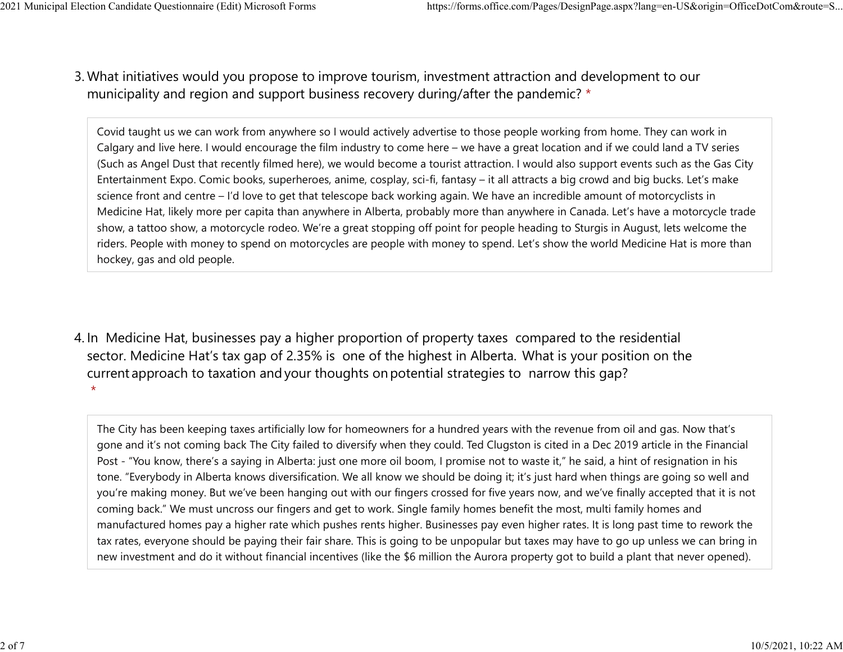What initiatives would you propose to improve tourism, investment attraction and development to our 3. municipality and region and support business recovery during/after the pandemic? \* 2021 Municipal Election Candidate Questionnaire (Edit) Microsoft Forms https://forms.office.com/Pages/DesignPage.aspx?lang=en-US&origin=OfficeDotCom&route=S...<br>2 Mhat initiatives would you propose to improve tourism invest

> Covid taught us we can work from anywhere so I would actively advertise to those people working from home. They can work in Calgary and live here. I would encourage the film industry to come here – we have a great location and if we could land a TV series (Such as Angel Dust that recently filmed here), we would become a tourist attraction. I would also support events such as the Gas City Entertainment Expo. Comic books, superheroes, anime, cosplay, sci-fi, fantasy – it all attracts a big crowd and big bucks. Let's make science front and centre – I'd love to get that telescope back working again. We have an incredible amount of motorcyclists in Medicine Hat, likely more per capita than anywhere in Alberta, probably more than anywhere in Canada. Let's have a motorcycle trade show, a tattoo show, a motorcycle rodeo. We're a great stopping off point for people heading to Sturgis in August, lets welcome the riders. People with money to spend on motorcycles are people with money to spend. Let's show the world Medicine Hat is more than hockey, gas and old people.

4. In Medicine Hat, businesses pay a higher proportion of property taxes compared to the residential sector.  Medicine Hat's tax gap of 2.35% is one of the highest in Alberta.  What is your position on the current approach to taxation and your thoughts on potential strategies to narrow this gap? \*

The City has been keeping taxes artificially low for homeowners for a hundred years with the revenue from oil and gas. Now that's gone and it's not coming back The City failed to diversify when they could. Ted Clugston is cited in a Dec 2019 article in the Financial Post - "You know, there's a saying in Alberta: just one more oil boom, I promise not to waste it," he said, a hint of resignation in his tone. "Everybody in Alberta knows diversification. We all know we should be doing it; it's just hard when things are going so well and you're making money. But we've been hanging out with our fingers crossed for five years now, and we've finally accepted that it is not coming back." We must uncross our fingers and get to work. Single family homes benefit the most, multi family homes and manufactured homes pay a higher rate which pushes rents higher. Businesses pay even higher rates. It is long past time to rework the tax rates, everyone should be paying their fair share. This is going to be unpopular but taxes may have to go up unless we can bring in new investment and do it without financial incentives (like the \$6 million the Aurora property got to build a plant that never opened).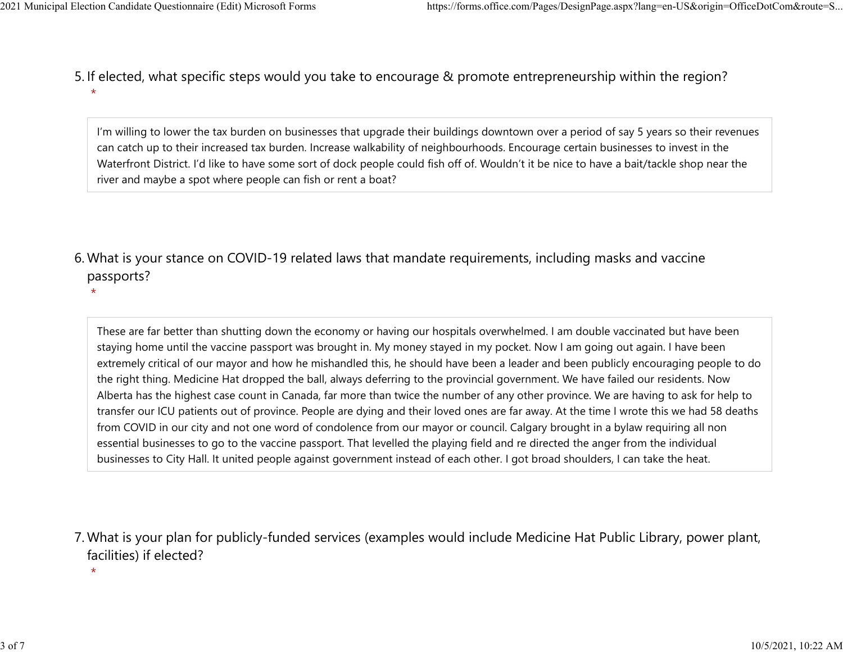\*

5. If elected, what specific steps would you take to encourage & promote entrepreneurship within the region? \* 2021 Municipal Election Candidate Questionnaire (Edit) Microsoft Forms https://forms.office.com/Pages/DesignPage.aspx?lang=en-US&origin=OfficeDotCom&route=S...<br>5. If elected what specific steps would you take to encourage

> I'm willing to lower the tax burden on businesses that upgrade their buildings downtown over a period of say 5 years so their revenues can catch up to their increased tax burden. Increase walkability of neighbourhoods. Encourage certain businesses to invest in the Waterfront District. I'd like to have some sort of dock people could fish off of. Wouldn't it be nice to have a bait/tackle shop near the river and maybe a spot where people can fish or rent a boat?

What is your stance on COVID-19 related laws that mandate requirements, including masks and vaccine 6. passports?

These are far better than shutting down the economy or having our hospitals overwhelmed. I am double vaccinated but have been staying home until the vaccine passport was brought in. My money stayed in my pocket. Now I am going out again. I have been extremely critical of our mayor and how he mishandled this, he should have been a leader and been publicly encouraging people to do the right thing. Medicine Hat dropped the ball, always deferring to the provincial government. We have failed our residents. Now Alberta has the highest case count in Canada, far more than twice the number of any other province. We are having to ask for help to transfer our ICU patients out of province. People are dying and their loved ones are far away. At the time I wrote this we had 58 deaths from COVID in our city and not one word of condolence from our mayor or council. Calgary brought in a bylaw requiring all non essential businesses to go to the vaccine passport. That levelled the playing field and re directed the anger from the individual businesses to City Hall. It united people against government instead of each other. I got broad shoulders, I can take the heat.

What is your plan for publicly-funded services (examples would include Medicine Hat Public Library, power plant, 7. facilities) if elected?

\*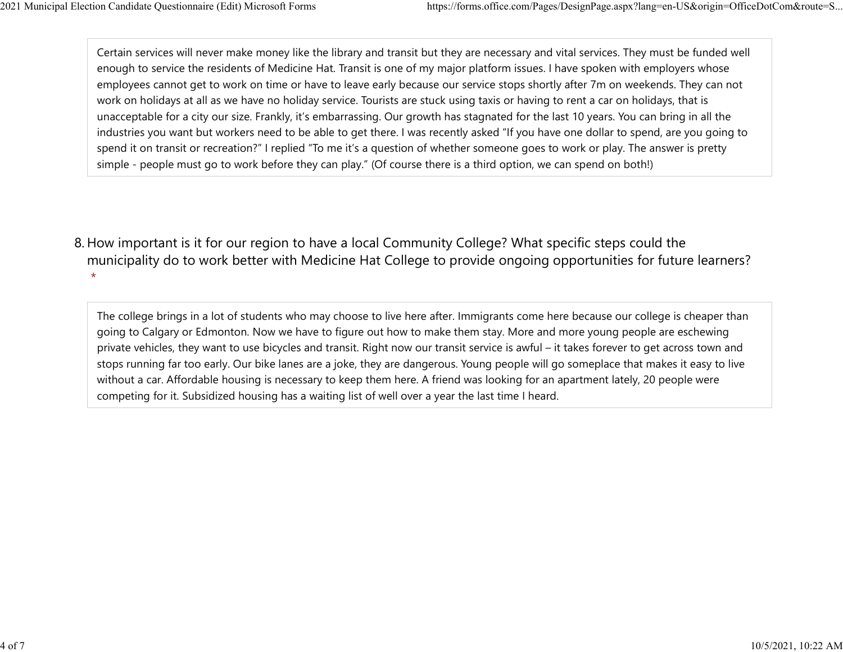Certain services will never make money like the library and transit but they are necessary and vital services. They must be funded well enough to service the residents of Medicine Hat. Transit is one of my major platform issues. I have spoken with employers whose employees cannot get to work on time or have to leave early because our service stops shortly after 7m on weekends. They can not work on holidays at all as we have no holiday service. Tourists are stuck using taxis or having to rent a car on holidays, that is unacceptable for a city our size. Frankly, it's embarrassing. Our growth has stagnated for the last 10 years. You can bring in all the industries you want but workers need to be able to get there. I was recently asked "If you have one dollar to spend, are you going to spend it on transit or recreation?" I replied "To me it's a question of whether someone goes to work or play. The answer is pretty simple - people must go to work before they can play." (Of course there is a third option, we can spend on both!) 2021 Municipal Election Candidate Questionnaire (Edit) Microsoft Forms https://forms.office.com/Pages/DesignPage.aspx?lang=en-US&origin=OfficeDotCom&route=S...<br>Certain services will never make money like the library and tr

8. How important is it for our region to have a local Community College? What specific steps could the municipality do to work better with Medicine Hat College to provide ongoing opportunities for future learners? \*

The college brings in a lot of students who may choose to live here after. Immigrants come here because our college is cheaper than going to Calgary or Edmonton. Now we have to figure out how to make them stay. More and more young people are eschewing private vehicles, they want to use bicycles and transit. Right now our transit service is awful – it takes forever to get across town and stops running far too early. Our bike lanes are a joke, they are dangerous. Young people will go someplace that makes it easy to live without a car. Affordable housing is necessary to keep them here. A friend was looking for an apartment lately, 20 people were competing for it. Subsidized housing has a waiting list of well over a year the last time I heard.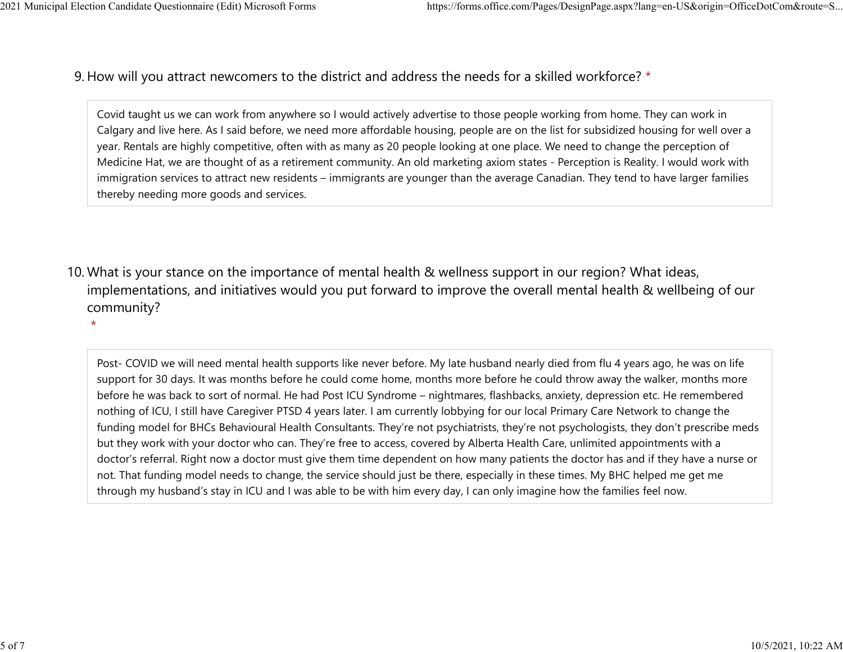## 9. How will you attract newcomers to the district and address the needs for a skilled workforce? \* 2021 Municipal Election Candidate Questionnaire (Edit) Microsoft Forms https://forms.office.com/Pages/DesignPage.aspx?lang=en-US&origin=OfficeDotCom&route=S...<br>Q How will you attract newcomers to the district and address t

Covid taught us we can work from anywhere so I would actively advertise to those people working from home. They can work in Calgary and live here. As I said before, we need more affordable housing, people are on the list for subsidized housing for well over a year. Rentals are highly competitive, often with as many as 20 people looking at one place. We need to change the perception of Medicine Hat, we are thought of as a retirement community. An old marketing axiom states - Perception is Reality. I would work with immigration services to attract new residents – immigrants are younger than the average Canadian. They tend to have larger families thereby needing more goods and services.

10. What is your stance on the importance of mental health & wellness support in our region? What ideas, implementations, and initiatives would you put forward to improve the overall mental health & wellbeing of our community?

\*

Post- COVID we will need mental health supports like never before. My late husband nearly died from flu 4 years ago, he was on life support for 30 days. It was months before he could come home, months more before he could throw away the walker, months more before he was back to sort of normal. He had Post ICU Syndrome – nightmares, flashbacks, anxiety, depression etc. He remembered nothing of ICU, I still have Caregiver PTSD 4 years later. I am currently lobbying for our local Primary Care Network to change the funding model for BHCs Behavioural Health Consultants. They're not psychiatrists, they're not psychologists, they don't prescribe meds but they work with your doctor who can. They're free to access, covered by Alberta Health Care, unlimited appointments with a doctor's referral. Right now a doctor must give them time dependent on how many patients the doctor has and if they have a nurse or not. That funding model needs to change, the service should just be there, especially in these times. My BHC helped me get me through my husband's stay in ICU and I was able to be with him every day, I can only imagine how the families feel now.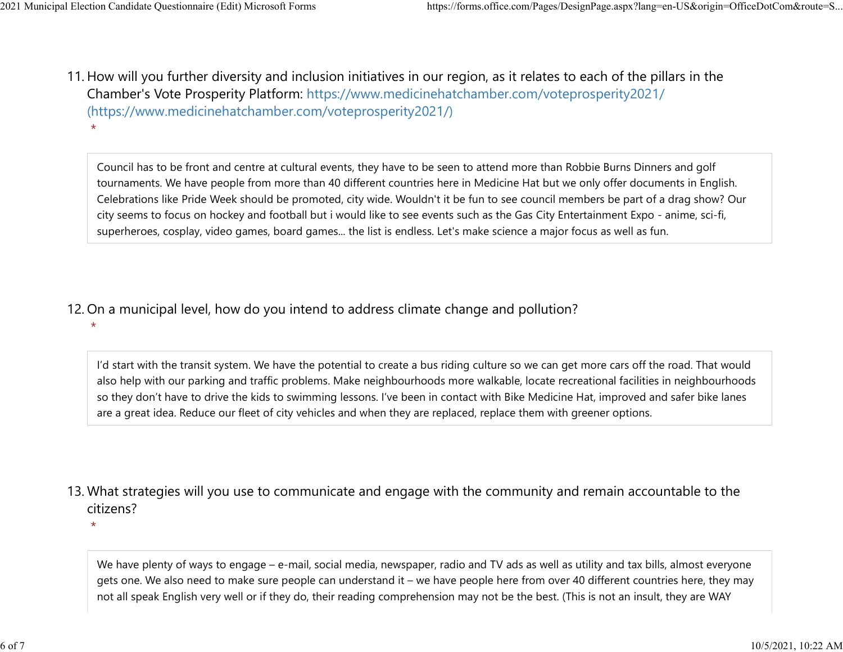\*

\*

\*

11. How will you further diversity and inclusion initiatives in our region, as it relates to each of the pillars in the Chamber's Vote Prosperity Platform: https://www.medicinehatchamber.com/voteprosperity2021/ (https://www.medicinehatchamber.com/voteprosperity2021/) 2021 Municipal Election Candidate Questionnaire (Edit) Microsoft Forms https://forms.office.com/Pages/DesignPage.aspx?lang=en-US&origin=OfficeDotCom&route=S...<br>11 How will you further diversity and inclusion initiatives in

> Council has to be front and centre at cultural events, they have to be seen to attend more than Robbie Burns Dinners and golf tournaments. We have people from more than 40 different countries here in Medicine Hat but we only offer documents in English. Celebrations like Pride Week should be promoted, city wide. Wouldn't it be fun to see council members be part of a drag show? Our city seems to focus on hockey and football but i would like to see events such as the Gas City Entertainment Expo - anime, sci-fi, superheroes, cosplay, video games, board games... the list is endless. Let's make science a major focus as well as fun.

12. On a municipal level, how do you intend to address climate change and pollution?

I'd start with the transit system. We have the potential to create a bus riding culture so we can get more cars off the road. That would also help with our parking and traffic problems. Make neighbourhoods more walkable, locate recreational facilities in neighbourhoods so they don't have to drive the kids to swimming lessons. I've been in contact with Bike Medicine Hat, improved and safer bike lanes are a great idea. Reduce our fleet of city vehicles and when they are replaced, replace them with greener options.

13. What strategies will you use to communicate and engage with the community and remain accountable to the citizens?

We have plenty of ways to engage – e-mail, social media, newspaper, radio and TV ads as well as utility and tax bills, almost everyone gets one. We also need to make sure people can understand it – we have people here from over 40 different countries here, they may not all speak English very well or if they do, their reading comprehension may not be the best. (This is not an insult, they are WAY